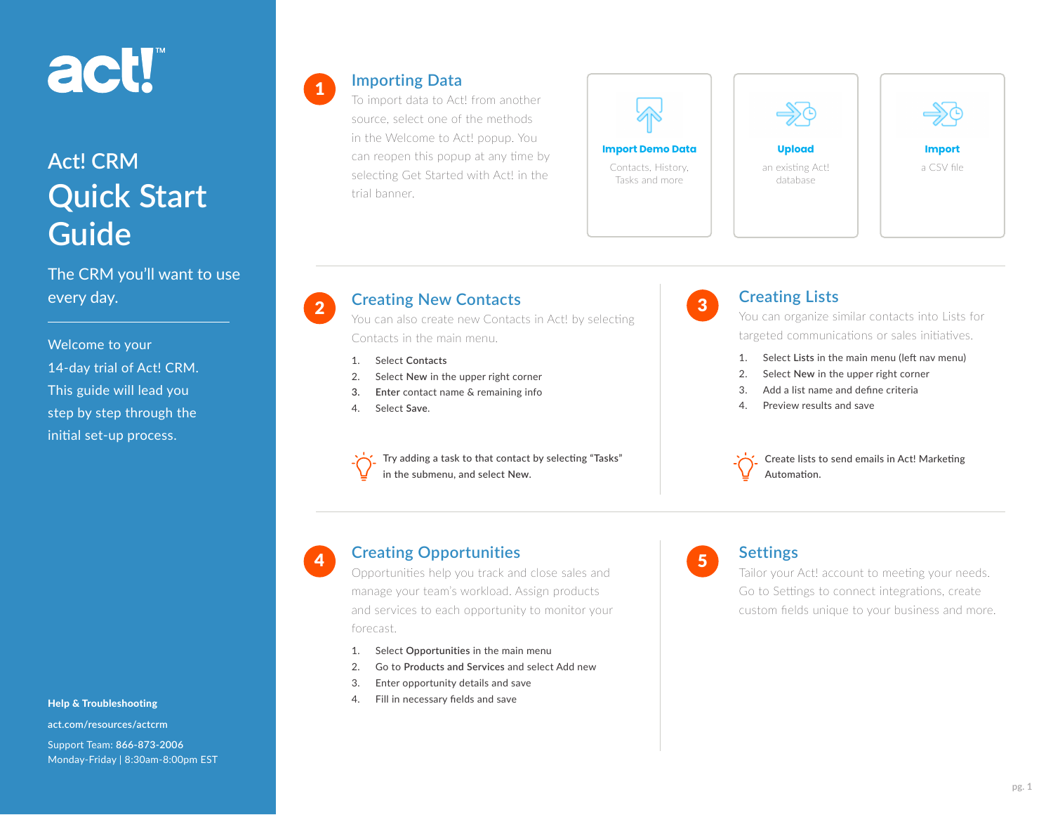# act!"

## **Act! CRM Quick Start Guide**

The CRM you'll want to use every day.

Welcome to your 14-day trial of Act! CRM. This guide will lead you step by step through the initial set-up process.

Help & Troubleshooting

**[act.com/resources/actcrm](https://www.act.com/resources/actcrm)** Support Team: **866-873-2006** Monday-Friday | 8:30am-8:00pm EST

#### **Importing Data**

1

4

To import data to Act! from another source, select one of the methods in the Welcome to Act! popup. You can reopen this popup at any time by selecting Get Started with Act! in the trial banner.



## -50 database



### **Creating New Contacts**

You can also create new Contacts in Act! by selecting Contacts in the main menu.

- 1. Select **Contacts**
- 2. Select **New** in the upper right corner
- **3. Enter** contact name & remaining info
- 4. Select **Save**.

Try adding a task to that contact by selecting "**Tasks**" in the submenu, and select **New**.



#### **Creating Lists**

You can organize similar contacts into Lists for targeted communications or sales initiatives.

- 1. Select **Lists** in the main menu (left nav menu)
- 2. Select **New** in the upper right corner
- 3. Add a list name and define criteria
- 4. Preview results and save

Create lists to send emails in Act! Marketing Automation.

#### **Creating Opportunities**

Opportunities help you track and close sales and manage your team's workload. Assign products and services to each opportunity to monitor your forecast.

- 1. Select **Opportunities** in the main menu
- 2. Go to **Products and Services** and select Add new
- 3. Enter opportunity details and save
- 4. Fill in necessary fields and save



#### **Settings**

Tailor your Act! account to meeting your needs. Go to Settings to connect integrations, create custom fields unique to your business and more.